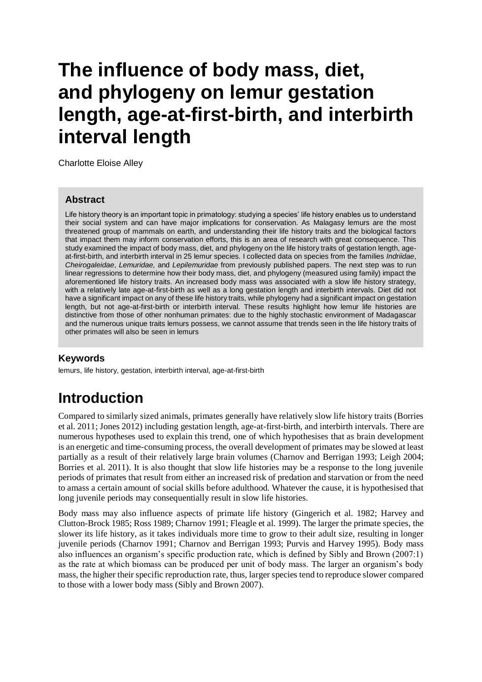# **The influence of body mass, diet, and phylogeny on lemur gestation length, age-at-first-birth, and interbirth interval length**

Charlotte Eloise Alley

#### **Abstract**

Life history theory is an important topic in primatology: studying a species' life history enables us to understand their social system and can have major implications for conservation. As Malagasy lemurs are the most threatened group of mammals on earth, and understanding their life history traits and the biological factors that impact them may inform conservation efforts, this is an area of research with great consequence. This study examined the impact of body mass, diet, and phylogeny on the life history traits of gestation length, ageat-first-birth, and interbirth interval in 25 lemur species. I collected data on species from the families *Indriidae*, *Cheirogaleidae*, *Lemuridae,* and *Lepilemuridae* from previously published papers. The next step was to run linear regressions to determine how their body mass, diet, and phylogeny (measured using family) impact the aforementioned life history traits. An increased body mass was associated with a slow life history strategy, with a relatively late age-at-first-birth as well as a long gestation length and interbirth intervals. Diet did not have a significant impact on any of these life history traits, while phylogeny had a significant impact on gestation length, but not age-at-first-birth or interbirth interval. These results highlight how lemur life histories are distinctive from those of other nonhuman primates: due to the highly stochastic environment of Madagascar and the numerous unique traits lemurs possess, we cannot assume that trends seen in the life history traits of other primates will also be seen in lemurs

#### **Keywords**

lemurs, life history, gestation, interbirth interval, age-at-first-birth

## **Introduction**

Compared to similarly sized animals, primates generally have relatively slow life history traits (Borries et al. 2011; Jones 2012) including gestation length, age-at-first-birth, and interbirth intervals. There are numerous hypotheses used to explain this trend, one of which hypothesises that as brain development is an energetic and time-consuming process, the overall development of primates may be slowed at least partially as a result of their relatively large brain volumes (Charnov and Berrigan 1993; Leigh 2004; Borries et al. 2011). It is also thought that slow life histories may be a response to the long juvenile periods of primates that result from either an increased risk of predation and starvation or from the need to amass a certain amount of social skills before adulthood. Whatever the cause, it is hypothesised that long juvenile periods may consequentially result in slow life histories.

Body mass may also influence aspects of primate life history (Gingerich et al. 1982; Harvey and Clutton-Brock 1985; Ross 1989; Charnov 1991; Fleagle et al. 1999). The larger the primate species, the slower its life history, as it takes individuals more time to grow to their adult size, resulting in longer juvenile periods (Charnov 1991; Charnov and Berrigan 1993; Purvis and Harvey 1995). Body mass also influences an organism's specific production rate, which is defined by Sibly and Brown (2007:1) as the rate at which biomass can be produced per unit of body mass. The larger an organism's body mass, the higher their specific reproduction rate, thus, larger species tend to reproduce slower compared to those with a lower body mass (Sibly and Brown 2007).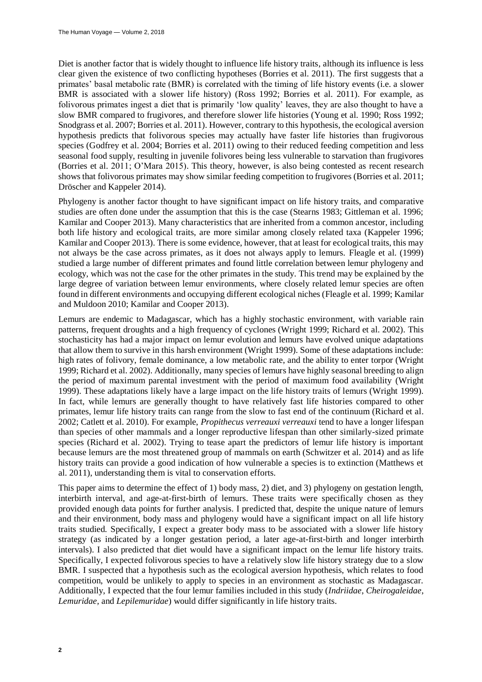Diet is another factor that is widely thought to influence life history traits, although its influence is less clear given the existence of two conflicting hypotheses (Borries et al. 2011). The first suggests that a primates' basal metabolic rate (BMR) is correlated with the timing of life history events (i.e. a slower BMR is associated with a slower life history) (Ross 1992; Borries et al. 2011). For example, as folivorous primates ingest a diet that is primarily 'low quality' leaves, they are also thought to have a slow BMR compared to frugivores, and therefore slower life histories (Young et al. 1990; Ross 1992; Snodgrass et al. 2007; Borries et al. 2011). However, contrary to this hypothesis, the ecological aversion hypothesis predicts that folivorous species may actually have faster life histories than frugivorous species (Godfrey et al. 2004; Borries et al. 2011) owing to their reduced feeding competition and less seasonal food supply, resulting in juvenile folivores being less vulnerable to starvation than frugivores (Borries et al. 2011; O'Mara 2015). This theory, however, is also being contested as recent research shows that folivorous primates may show similar feeding competition to frugivores (Borries et al. 2011; Dröscher and Kappeler 2014).

Phylogeny is another factor thought to have significant impact on life history traits, and comparative studies are often done under the assumption that this is the case (Stearns 1983; Gittleman et al. 1996; Kamilar and Cooper 2013). Many characteristics that are inherited from a common ancestor, including both life history and ecological traits, are more similar among closely related taxa (Kappeler 1996; Kamilar and Cooper 2013). There is some evidence, however, that at least for ecological traits, this may not always be the case across primates, as it does not always apply to lemurs. Fleagle et al. (1999) studied a large number of different primates and found little correlation between lemur phylogeny and ecology, which was not the case for the other primates in the study. This trend may be explained by the large degree of variation between lemur environments, where closely related lemur species are often found in different environments and occupying different ecological niches (Fleagle et al. 1999; Kamilar and Muldoon 2010; Kamilar and Cooper 2013).

Lemurs are endemic to Madagascar, which has a highly stochastic environment, with variable rain patterns, frequent droughts and a high frequency of cyclones (Wright 1999; Richard et al. 2002). This stochasticity has had a major impact on lemur evolution and lemurs have evolved unique adaptations that allow them to survive in this harsh environment (Wright 1999). Some of these adaptations include: high rates of folivory, female dominance, a low metabolic rate, and the ability to enter torpor (Wright 1999; Richard et al. 2002). Additionally, many species of lemurs have highly seasonal breeding to align the period of maximum parental investment with the period of maximum food availability (Wright 1999). These adaptations likely have a large impact on the life history traits of lemurs (Wright 1999). In fact, while lemurs are generally thought to have relatively fast life histories compared to other primates, lemur life history traits can range from the slow to fast end of the continuum (Richard et al. 2002; Catlett et al. 2010). For example, *Propithecus verreauxi verreauxi* tend to have a longer lifespan than species of other mammals and a longer reproductive lifespan than other similarly-sized primate species (Richard et al. 2002). Trying to tease apart the predictors of lemur life history is important because lemurs are the most threatened group of mammals on earth (Schwitzer et al. 2014) and as life history traits can provide a good indication of how vulnerable a species is to extinction (Matthews et al. 2011), understanding them is vital to conservation efforts.

This paper aims to determine the effect of 1) body mass, 2) diet, and 3) phylogeny on gestation length, interbirth interval, and age-at-first-birth of lemurs. These traits were specifically chosen as they provided enough data points for further analysis. I predicted that, despite the unique nature of lemurs and their environment, body mass and phylogeny would have a significant impact on all life history traits studied. Specifically, I expect a greater body mass to be associated with a slower life history strategy (as indicated by a longer gestation period, a later age-at-first-birth and longer interbirth intervals). I also predicted that diet would have a significant impact on the lemur life history traits. Specifically, I expected folivorous species to have a relatively slow life history strategy due to a slow BMR. I suspected that a hypothesis such as the ecological aversion hypothesis, which relates to food competition, would be unlikely to apply to species in an environment as stochastic as Madagascar. Additionally, I expected that the four lemur families included in this study (*Indriidae*, *Cheirogaleidae*, *Lemuridae,* and *Lepilemuridae*) would differ significantly in life history traits.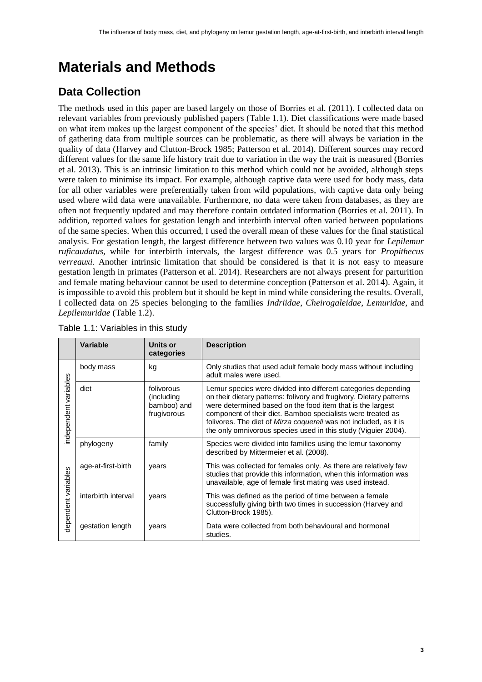## **Materials and Methods**

### **Data Collection**

The methods used in this paper are based largely on those of Borries et al. (2011). I collected data on relevant variables from previously published papers (Table 1.1). Diet classifications were made based on what item makes up the largest component of the species' diet. It should be noted that this method of gathering data from multiple sources can be problematic, as there will always be variation in the quality of data (Harvey and Clutton-Brock 1985; Patterson et al. 2014). Different sources may record different values for the same life history trait due to variation in the way the trait is measured (Borries et al. 2013). This is an intrinsic limitation to this method which could not be avoided, although steps were taken to minimise its impact. For example, although captive data were used for body mass, data for all other variables were preferentially taken from wild populations, with captive data only being used where wild data were unavailable. Furthermore, no data were taken from databases, as they are often not frequently updated and may therefore contain outdated information (Borries et al. 2011). In addition, reported values for gestation length and interbirth interval often varied between populations of the same species. When this occurred, I used the overall mean of these values for the final statistical analysis. For gestation length, the largest difference between two values was 0.10 year for *Lepilemur ruficaudatus,* while for interbirth intervals, the largest difference was 0.5 years for *Propithecus verreauxi.* Another intrinsic limitation that should be considered is that it is not easy to measure gestation length in primates (Patterson et al. 2014). Researchers are not always present for parturition and female mating behaviour cannot be used to determine conception (Patterson et al. 2014). Again, it is impossible to avoid this problem but it should be kept in mind while considering the results. Overall, I collected data on 25 species belonging to the families *Indriidae*, *Cheirogaleidae*, *Lemuridae,* and *Lepilemuridae* (Table 1.2).

|                       | <b>Variable</b>     | Units or<br>categories                                  | <b>Description</b>                                                                                                                                                                                                                                                                                                                                                                                        |  |
|-----------------------|---------------------|---------------------------------------------------------|-----------------------------------------------------------------------------------------------------------------------------------------------------------------------------------------------------------------------------------------------------------------------------------------------------------------------------------------------------------------------------------------------------------|--|
| independent variables | body mass           | kg                                                      | Only studies that used adult female body mass without including<br>adult males were used.                                                                                                                                                                                                                                                                                                                 |  |
|                       | diet                | folivorous<br>(including)<br>bamboo) and<br>frugivorous | Lemur species were divided into different categories depending<br>on their dietary patterns: folivory and frugivory. Dietary patterns<br>were determined based on the food item that is the largest<br>component of their diet. Bamboo specialists were treated as<br>folivores. The diet of Mirza coquereli was not included, as it is<br>the only omnivorous species used in this study (Viguier 2004). |  |
|                       | phylogeny           | family                                                  | Species were divided into families using the lemur taxonomy<br>described by Mittermeier et al. (2008).                                                                                                                                                                                                                                                                                                    |  |
| dependent variables   | age-at-first-birth  | years                                                   | This was collected for females only. As there are relatively few<br>studies that provide this information, when this information was<br>unavailable, age of female first mating was used instead.                                                                                                                                                                                                         |  |
|                       | interbirth interval | years                                                   | This was defined as the period of time between a female<br>successfully giving birth two times in succession (Harvey and<br>Clutton-Brock 1985).                                                                                                                                                                                                                                                          |  |
|                       | gestation length    | years                                                   | Data were collected from both behavioural and hormonal<br>studies.                                                                                                                                                                                                                                                                                                                                        |  |

|  | Table 1.1: Variables in this study |  |  |
|--|------------------------------------|--|--|
|--|------------------------------------|--|--|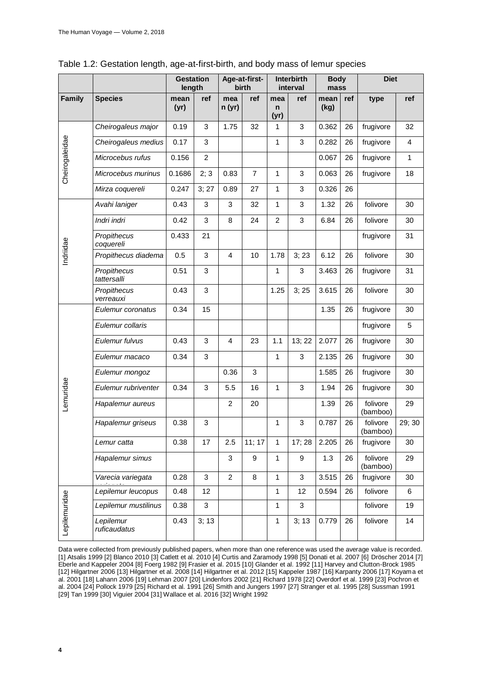|                | <b>Gestation</b><br>length |              | Age-at-first-<br>birth |                | Interbirth<br>interval |                             | <b>Body</b><br>mass |              | <b>Diet</b> |                      |              |
|----------------|----------------------------|--------------|------------------------|----------------|------------------------|-----------------------------|---------------------|--------------|-------------|----------------------|--------------|
| Family         | <b>Species</b>             | mean<br>(yr) | ref                    | mea<br>n(yr)   | ref                    | mea<br>$\mathsf{n}$<br>(yr) | ref                 | mean<br>(kg) | ref         | type                 | ref          |
|                | Cheirogaleus major         | 0.19         | $\mathbf{3}$           | 1.75           | 32                     | 1                           | 3                   | 0.362        | 26          | frugivore            | 32           |
|                | Cheirogaleus medius        | 0.17         | 3                      |                |                        | 1                           | 3                   | 0.282        | 26          | frugivore            | 4            |
|                | Microcebus rufus           | 0.156        | $\overline{c}$         |                |                        |                             |                     | 0.067        | 26          | frugivore            | $\mathbf{1}$ |
| Cheirogaleidae | Microcebus murinus         | 0.1686       | 2; 3                   | 0.83           | $\overline{7}$         | 1                           | 3                   | 0.063        | 26          | frugivore            | 18           |
|                | Mirza coquereli            | 0.247        | 3; 27                  | 0.89           | 27                     | 1                           | 3                   | 0.326        | 26          |                      |              |
|                | Avahi laniger              | 0.43         | 3                      | 3              | 32                     | 1                           | 3                   | 1.32         | 26          | folivore             | 30           |
|                | Indri indri                | 0.42         | $\sqrt{3}$             | 8              | 24                     | $\overline{2}$              | 3                   | 6.84         | 26          | folivore             | 30           |
|                | Propithecus<br>coquereli   | 0.433        | 21                     |                |                        |                             |                     |              |             | frugivore            | 31           |
| Indriidae      | Propithecus diadema        | 0.5          | $\mathbf{3}$           | $\overline{4}$ | 10                     | 1.78                        | 3; 23               | 6.12         | 26          | folivore             | 30           |
|                | Propithecus<br>tattersalli | 0.51         | 3                      |                |                        | 1                           | 3                   | 3.463        | 26          | frugivore            | 31           |
|                | Propithecus<br>verreauxi   | 0.43         | $\sqrt{3}$             |                |                        | 1.25                        | 3; 25               | 3.615        | 26          | folivore             | 30           |
|                | Eulemur coronatus          | 0.34         | 15                     |                |                        |                             |                     | 1.35         | 26          | frugivore            | 30           |
|                | Eulemur collaris           |              |                        |                |                        |                             |                     |              |             | frugivore            | 5            |
|                | Eulemur fulvus             | 0.43         | 3                      | 4              | 23                     | 1.1                         | 13; 22              | 2.077        | 26          | frugivore            | 30           |
|                | Eulemur macaco             | 0.34         | 3                      |                |                        | 1                           | 3                   | 2.135        | 26          | frugivore            | 30           |
|                | Eulemur mongoz             |              |                        | 0.36           | 3                      |                             |                     | 1.585        | 26          | frugivore            | 30           |
| Lemuridae      | Eulemur rubriventer        | 0.34         | $\sqrt{3}$             | 5.5            | 16                     | 1                           | 3                   | 1.94         | 26          | frugivore            | 30           |
|                | Hapalemur aureus           |              |                        | $\overline{c}$ | 20                     |                             |                     | 1.39         | 26          | folivore<br>(bamboo) | 29           |
|                | Hapalemur griseus          | 0.38         | $\mathbf{3}$           |                |                        | 1                           | 3                   | 0.787        | 26          | folivore<br>(bamboo) | 29; 30       |
|                | Lemur catta                | 0.38         | 17                     | 2.5            | 11; 17                 | 1                           | 17; 28              | 2.205        | 26          | frugivore            | 30           |
|                | Hapalemur simus            |              |                        | 3              | 9                      | 1                           | 9                   | 1.3          | 26          | folivore<br>(bamboo) | 29           |
|                | Varecia variegata          | 0.28         | 3                      | $\overline{c}$ | 8                      | 1                           | 3                   | 3.515        | 26          | frugivore            | 30           |
|                | Lepilemur leucopus         | 0.48         | 12                     |                |                        | 1                           | 12                  | 0.594        | 26          | folivore             | 6            |
|                | Lepilemur mustilinus       | 0.38         | 3                      |                |                        | 1                           | 3                   |              |             | folivore             | 19           |
| Lepilemuridae  | Lepilemur<br>ruficaudatus  | 0.43         | 3; 13                  |                |                        | 1                           | 3; 13               | 0.779        | 26          | folivore             | 14           |

| Table 1.2: Gestation length, age-at-first-birth, and body mass of lemur species |  |  |  |  |  |  |  |
|---------------------------------------------------------------------------------|--|--|--|--|--|--|--|
|---------------------------------------------------------------------------------|--|--|--|--|--|--|--|

Data were collected from previously published papers, when more than one reference was used the average value is recorded. [1] Atsalis 1999 [2] Blanco 2010 [3] Catlett et al. 2010 [4] Curtis and Zaramody 1998 [5] Donati et al. 2007 [6] Dröscher 2014 [7] Eberle and Kappeler 2004 [8] Foerg 1982 [9] Frasier et al. 2015 [10] Glander et al. 1992 [11] Harvey and Clutton-Brock 1985 [12] Hilgartner 2006 [13] Hilgartner et al. 2008 [14] Hilgartner et al. 2012 [15] Kappeler 1987 [16] Karpanty 2006 [17] Koyama et al. 2001 [18] Lahann 2006 [19] Lehman 2007 [20] Lindenfors 2002 [21] Richard 1978 [22] Overdorf et al. 1999 [23] Pochron et al. 2004 [24] Pollock 1979 [25] Richard et al. 1991 [26] Smith and Jungers 1997 [27] Stranger et al. 1995 [28] Sussman 1991 [29] Tan 1999 [30] Viguier 2004 [31] Wallace et al. 2016 [32] Wright 1992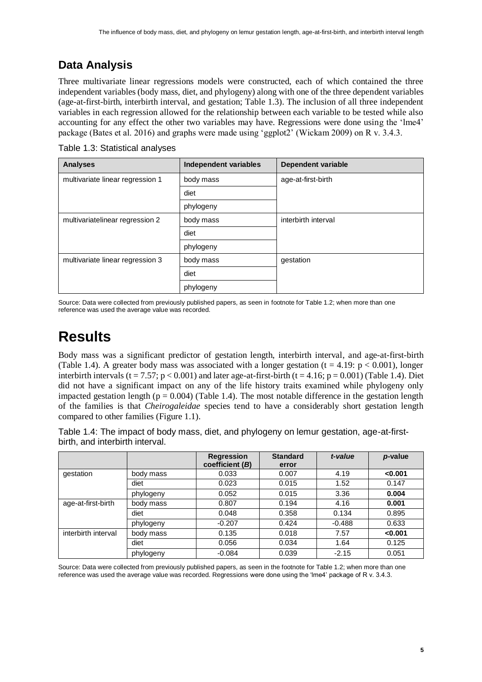#### **Data Analysis**

Three multivariate linear regressions models were constructed, each of which contained the three independent variables (body mass, diet, and phylogeny) along with one of the three dependent variables (age-at-first-birth, interbirth interval, and gestation; Table 1.3). The inclusion of all three independent variables in each regression allowed for the relationship between each variable to be tested while also accounting for any effect the other two variables may have. Regressions were done using the 'lme4' package (Bates et al. 2016) and graphs were made using 'ggplot2' (Wickam 2009) on R v. 3.4.3.

Table 1.3: Statistical analyses

| <b>Analyses</b>                  | Independent variables | Dependent variable  |  |
|----------------------------------|-----------------------|---------------------|--|
| multivariate linear regression 1 | body mass             | age-at-first-birth  |  |
|                                  | diet                  |                     |  |
|                                  | phylogeny             |                     |  |
| multivariatelinear regression 2  | body mass             | interbirth interval |  |
|                                  | diet                  |                     |  |
|                                  | phylogeny             |                     |  |
| multivariate linear regression 3 | body mass             | gestation           |  |
|                                  | diet                  |                     |  |
|                                  | phylogeny             |                     |  |

Source: Data were collected from previously published papers, as seen in footnote for Table 1.2; when more than one reference was used the average value was recorded.

### **Results**

Body mass was a significant predictor of gestation length, interbirth interval, and age-at-first-birth (Table 1.4). A greater body mass was associated with a longer gestation (t = 4.19:  $p < 0.001$ ), longer interbirth intervals (t = 7.57; p < 0.001) and later age-at-first-birth (t = 4.16; p = 0.001) (Table 1.4). Diet did not have a significant impact on any of the life history traits examined while phylogeny only impacted gestation length ( $p = 0.004$ ) (Table 1.4). The most notable difference in the gestation length of the families is that *Cheirogaleidae* species tend to have a considerably short gestation length compared to other families (Figure 1.1).

Table 1.4: The impact of body mass, diet, and phylogeny on lemur gestation, age-at-firstbirth, and interbirth interval.

|                     |           | <b>Regression</b><br>coefficient (B) | <b>Standard</b><br>error | t-value  | p-value |
|---------------------|-----------|--------------------------------------|--------------------------|----------|---------|
| gestation           | body mass | 0.033                                | 0.007                    | 4.19     | < 0.001 |
|                     | diet      | 0.023                                | 0.015                    | 1.52     | 0.147   |
|                     | phylogeny | 0.052                                | 0.015                    | 3.36     | 0.004   |
| age-at-first-birth  | body mass | 0.807                                | 0.194                    | 4.16     | 0.001   |
|                     | diet      | 0.048                                | 0.358                    | 0.134    | 0.895   |
|                     | phylogeny | $-0.207$                             | 0.424                    | $-0.488$ | 0.633   |
| interbirth interval | body mass | 0.135                                | 0.018                    | 7.57     | < 0.001 |
|                     | diet      | 0.056                                | 0.034                    | 1.64     | 0.125   |
|                     | phylogeny | $-0.084$                             | 0.039                    | $-2.15$  | 0.051   |

Source: Data were collected from previously published papers, as seen in the footnote for Table 1.2; when more than one reference was used the average value was recorded. Regressions were done using the 'lme4' package of R v. 3.4.3.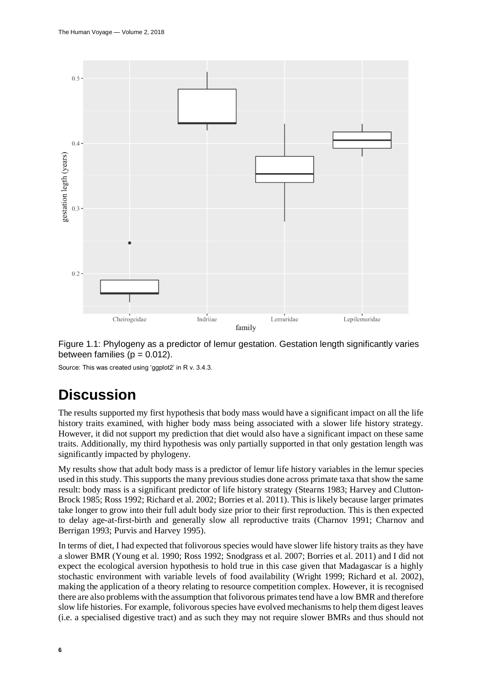

Figure 1.1: Phylogeny as a predictor of lemur gestation. Gestation length significantly varies between families ( $p = 0.012$ ).

Source: This was created using 'ggplot2' in R v. 3.4.3.

## **Discussion**

The results supported my first hypothesis that body mass would have a significant impact on all the life history traits examined, with higher body mass being associated with a slower life history strategy. However, it did not support my prediction that diet would also have a significant impact on these same traits. Additionally, my third hypothesis was only partially supported in that only gestation length was significantly impacted by phylogeny.

My results show that adult body mass is a predictor of lemur life history variables in the lemur species used in this study. This supports the many previous studies done across primate taxa that show the same result: body mass is a significant predictor of life history strategy (Stearns 1983; Harvey and Clutton-Brock 1985; Ross 1992; Richard et al. 2002; Borries et al. 2011). This is likely because larger primates take longer to grow into their full adult body size prior to their first reproduction. This is then expected to delay age-at-first-birth and generally slow all reproductive traits (Charnov 1991; Charnov and Berrigan 1993; Purvis and Harvey 1995).

In terms of diet, I had expected that folivorous species would have slower life history traits as they have a slower BMR (Young et al. 1990; Ross 1992; Snodgrass et al. 2007; Borries et al. 2011) and I did not expect the ecological aversion hypothesis to hold true in this case given that Madagascar is a highly stochastic environment with variable levels of food availability (Wright 1999; Richard et al. 2002), making the application of a theory relating to resource competition complex. However, it is recognised there are also problems with the assumption that folivorous primates tend have a low BMR and therefore slow life histories. For example, folivorous species have evolved mechanisms to help them digest leaves (i.e. a specialised digestive tract) and as such they may not require slower BMRs and thus should not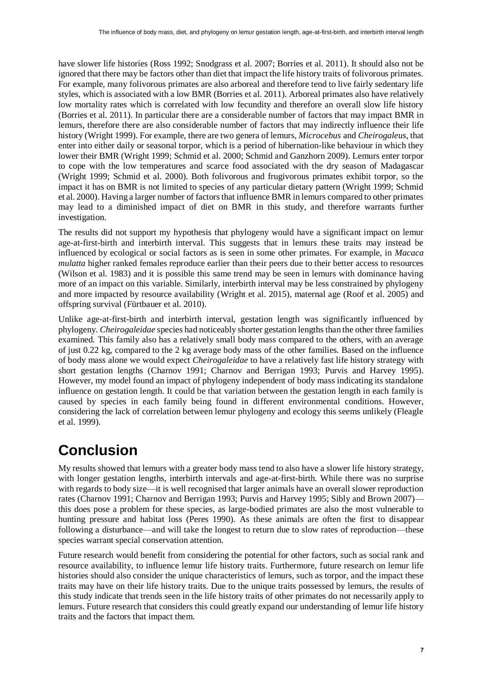have slower life histories (Ross 1992; Snodgrass et al. 2007; Borries et al. 2011). It should also not be ignored that there may be factors other than diet that impact the life history traits of folivorous primates. For example, many folivorous primates are also arboreal and therefore tend to live fairly sedentary life styles, which is associated with a low BMR (Borries et al. 2011). Arboreal primates also have relatively low mortality rates which is correlated with low fecundity and therefore an overall slow life history (Borries et al. 2011). In particular there are a considerable number of factors that may impact BMR in lemurs, therefore there are also considerable number of factors that may indirectly influence their life history (Wright 1999). For example, there are two genera of lemurs, *Microcebus* and *Cheirogaleus*, that enter into either daily or seasonal torpor, which is a period of hibernation-like behaviour in which they lower their BMR (Wright 1999; Schmid et al. 2000; Schmid and Ganzhorn 2009). Lemurs enter torpor to cope with the low temperatures and scarce food associated with the dry season of Madagascar (Wright 1999; Schmid et al. 2000). Both folivorous and frugivorous primates exhibit torpor, so the impact it has on BMR is not limited to species of any particular dietary pattern (Wright 1999; Schmid et al. 2000). Having a larger number of factors that influence BMR in lemurs compared to other primates may lead to a diminished impact of diet on BMR in this study, and therefore warrants further investigation.

The results did not support my hypothesis that phylogeny would have a significant impact on lemur age-at-first-birth and interbirth interval. This suggests that in lemurs these traits may instead be influenced by ecological or social factors as is seen in some other primates. For example, in *Macaca mulatta* higher ranked females reproduce earlier than their peers due to their better access to resources (Wilson et al. 1983) and it is possible this same trend may be seen in lemurs with dominance having more of an impact on this variable. Similarly, interbirth interval may be less constrained by phylogeny and more impacted by resource availability (Wright et al. 2015), maternal age (Roof et al. 2005) and offspring survival (Fürtbauer et al. 2010).

Unlike age-at-first-birth and interbirth interval, gestation length was significantly influenced by phylogeny. *Cheirogaleidae* species had noticeably shorter gestation lengths than the other three families examined. This family also has a relatively small body mass compared to the others, with an average of just 0.22 kg, compared to the 2 kg average body mass of the other families*.* Based on the influence of body mass alone we would expect *Cheirogaleidae* to have a relatively fast life history strategy with short gestation lengths (Charnov 1991; Charnov and Berrigan 1993; Purvis and Harvey 1995). However, my model found an impact of phylogeny independent of body mass indicating its standalone influence on gestation length. It could be that variation between the gestation length in each family is caused by species in each family being found in different environmental conditions. However, considering the lack of correlation between lemur phylogeny and ecology this seems unlikely (Fleagle et al. 1999).

## **Conclusion**

My results showed that lemurs with a greater body mass tend to also have a slower life history strategy, with longer gestation lengths, interbirth intervals and age-at-first-birth. While there was no surprise with regards to body size—it is well recognised that larger animals have an overall slower reproduction rates (Charnov 1991; Charnov and Berrigan 1993; Purvis and Harvey 1995; Sibly and Brown 2007) this does pose a problem for these species, as large-bodied primates are also the most vulnerable to hunting pressure and habitat loss (Peres 1990). As these animals are often the first to disappear following a disturbance—and will take the longest to return due to slow rates of reproduction—these species warrant special conservation attention.

Future research would benefit from considering the potential for other factors, such as social rank and resource availability, to influence lemur life history traits. Furthermore, future research on lemur life histories should also consider the unique characteristics of lemurs, such as torpor, and the impact these traits may have on their life history traits. Due to the unique traits possessed by lemurs, the results of this study indicate that trends seen in the life history traits of other primates do not necessarily apply to lemurs. Future research that considers this could greatly expand our understanding of lemur life history traits and the factors that impact them.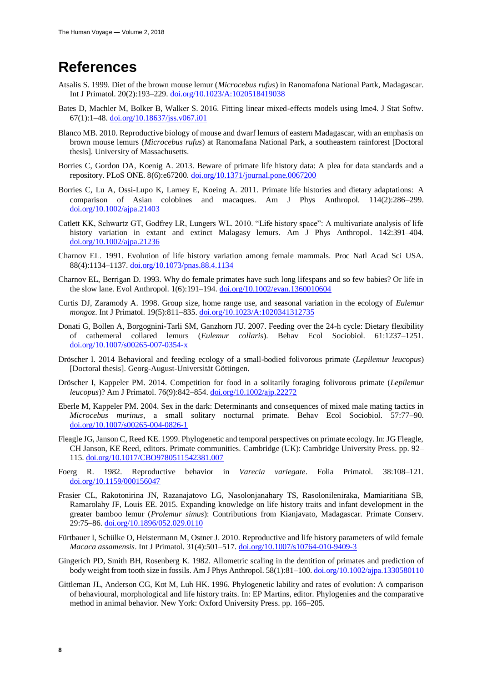### **References**

- Atsalis S. 1999. Diet of the brown mouse lemur (*Microcebus rufus*) in Ranomafona National Partk, Madagascar. Int J Primatol. 20(2):193–229. [doi.org/10.1023/A:1020518419038](https://doi.org/10.1023/A:1020518419038)
- Bates D, Machler M, Bolker B, Walker S. 2016. Fitting linear mixed-effects models using lme4. J Stat Softw. 67(1):1–48[. doi.org/10.18637/jss.v067.i01](https://doi.org/10.18637/jss.v067.i01)
- Blanco MB. 2010. Reproductive biology of mouse and dwarf lemurs of eastern Madagascar, with an emphasis on brown mouse lemurs (*Microcebus rufus*) at Ranomafana National Park, a southeastern rainforest [Doctoral thesis]. University of Massachusetts.
- Borries C, Gordon DA, Koenig A. 2013. Beware of primate life history data: A plea for data standards and a repository. PLoS ONE. 8(6):e67200. [doi.org/10.1371/journal.pone.0067200](https://doi.org/10.1371/journal.pone.0067200)
- Borries C, Lu A, Ossi-Lupo K, Larney E, Koeing A. 2011. Primate life histories and dietary adaptations: A comparison of Asian colobines and macaques. Am J Phys Anthropol. 114(2):286–299. [doi.org/10.1002/ajpa.21403](https://doi.org/10.1002/ajpa.21403)
- Catlett KK, Schwartz GT, Godfrey LR, Lungers WL. 2010. "Life history space": A multivariate analysis of life history variation in extant and extinct Malagasy lemurs. Am J Phys Anthropol. 142:391–404. [doi.org/10.1002/ajpa.21236](https://doi.org/10.1002/ajpa.21236)
- Charnov EL. 1991. Evolution of life history variation among female mammals. Proc Natl Acad Sci USA*.* 88(4):1134–1137[. doi.org/10.1073/pnas.88.4.1134](https://doi.org/10.1073/pnas.88.4.1134)
- Charnov EL, Berrigan D. 1993. Why do female primates have such long lifespans and so few babies? Or life in the slow lane. Evol Anthropol. 1(6):191–194. [doi.org/10.1002/evan.1360010604](https://doi.org/10.1002/evan.1360010604)
- Curtis DJ, Zaramody A. 1998. Group size, home range use, and seasonal variation in the ecology of *Eulemur mongoz*. Int J Primatol. 19(5):811–835. [doi.org/10.1023/A:1020341312735](https://doi.org/10.1023/A:1020341312735)
- Donati G, Bollen A, Borgognini-Tarli SM, Ganzhorn JU. 2007. Feeding over the 24-h cycle: Dietary flexibility of cathemeral collared lemurs (*Eulemur collaris*). Behav Ecol Sociobiol. 61:1237–1251. [doi.org/10.1007/s00265-007-0354-x](https://doi.org/10.1007/s00265-007-0354-x)
- Dröscher I. 2014 Behavioral and feeding ecology of a small-bodied folivorous primate (*Lepilemur leucopus*) [Doctoral thesis]. Georg-August-Universität Göttingen.
- Dröscher I, Kappeler PM. 2014. Competition for food in a solitarily foraging folivorous primate (*Lepilemur leucopus*)? Am J Primatol. 76(9):842–854. [doi.org/10.1002/ajp.22272](https://doi.org/10.1002/ajp.22272)
- Eberle M, Kappeler PM. 2004. Sex in the dark: Determinants and consequences of mixed male mating tactics in *Microcebus murinus*, a small solitary nocturnal primate. Behav Ecol Sociobiol. 57:77–90. [doi.org/10.1007/s00265-004-0826-1](https://doi.org/10.1007/s00265-004-0826-1)
- Fleagle JG, Janson C, Reed KE. 1999. Phylogenetic and temporal perspectives on primate ecology. In: JG Fleagle, CH Janson, KE Reed, editors. Primate communities*.* Cambridge (UK): Cambridge University Press. pp. 92– 115. [doi.org/10.1017/CBO9780511542381.007](https://doi.org/10.1017/CBO9780511542381.007)
- Foerg R. 1982. Reproductive behavior in *Varecia variegate*. Folia Primatol*.* 38:108–121. [doi.org/10.1159/000156047](https://doi.org/10.1159/000156047)
- Frasier CL, Rakotonirina JN, Razanajatovo LG, Nasolonjanahary TS, Rasolonileniraka, Mamiaritiana SB, Ramarolahy JF, Louis EE. 2015. Expanding knowledge on life history traits and infant development in the greater bamboo lemur (*Prolemur simus*): Contributions from Kianjavato, Madagascar. Primate Conserv. 29:75–86. [doi.org/10.1896/052.029.0110](https://doi.org/10.1896/052.029.0110)
- Fürtbauer I, Schülke O, Heistermann M, Ostner J. 2010. Reproductive and life history parameters of wild female *Macaca assamensis*. Int J Primatol. 31(4):501–517. [doi.org/10.1007/s10764-010-9409-3](https://doi.org/10.1007/s10764-010-9409-3)
- Gingerich PD, Smith BH, Rosenberg K. 1982. Allometric scaling in the dentition of primates and prediction of body weight from tooth size in fossils. Am J Phys Anthropol. 58(1):81–100[. doi.org/10.1002/ajpa.1330580110](https://doi.org/10.1002/ajpa.1330580110)
- Gittleman JL, Anderson CG, Kot M, Luh HK. 1996. Phylogenetic lability and rates of evolution: A comparison of behavioural, morphological and life history traits. In: EP Martins, editor. Phylogenies and the comparative method in animal behavior*.* New York: Oxford University Press. pp. 166–205.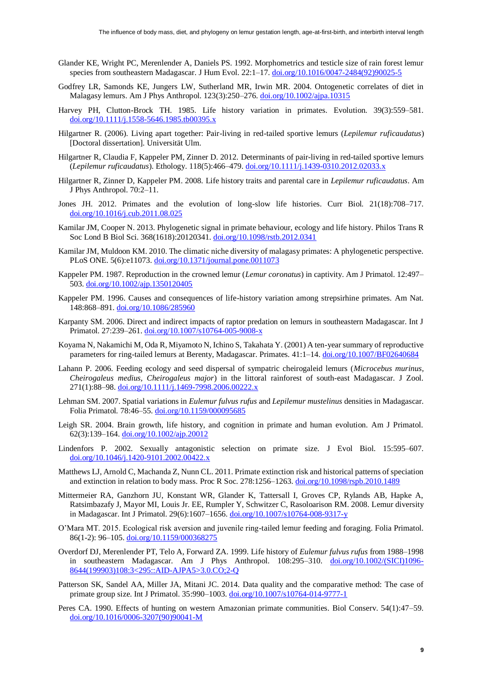- Glander KE, Wright PC, Merenlender A, Daniels PS. 1992. Morphometrics and testicle size of rain forest lemur species from southeastern Madagascar. J Hum Evol. 22:1–17. [doi.org/10.1016/0047-2484\(92\)90025-5](https://doi.org/10.1016/0047-2484(92)90025-5)
- Godfrey LR, Samonds KE, Jungers LW, Sutherland MR, Irwin MR. 2004. Ontogenetic correlates of diet in Malagasy lemurs. Am J Phys Anthropol. 123(3):250–276. [doi.org/10.1002/ajpa.10315](https://doi.org/10.1002/ajpa.10315)
- Harvey PH, Clutton-Brock TH. 1985. Life history variation in primates. Evolution*.* 39(3):559–581. [doi.org/10.1111/j.1558-5646.1985.tb00395.x](https://doi.org/10.1111/j.1558-5646.1985.tb00395.x)
- Hilgartner R. (2006). Living apart together: Pair-living in red-tailed sportive lemurs (*Lepilemur ruficaudatus*) [Doctoral dissertation]. Universität Ulm.
- Hilgartner R, Claudia F, Kappeler PM, Zinner D. 2012. Determinants of pair-living in red-tailed sportive lemurs (*Lepilemur ruficaudatus*). Ethology. 118(5):466–479. [doi.org/10.1111/j.1439-0310.2012.02033.x](https://doi.org/10.1111/j.1439-0310.2012.02033.x)
- Hilgartner R, Zinner D, Kappeler PM. 2008. Life history traits and parental care in *Lepilemur ruficaudatus*. Am J Phys Anthropol. 70:2–11.
- Jones JH. 2012. Primates and the evolution of long-slow life histories. Curr Biol*.* 21(18):708–717. [doi.org/10.1016/j.cub.2011.08.025](https://doi.org/10.1016/j.cub.2011.08.025)
- Kamilar JM, Cooper N. 2013. Phylogenetic signal in primate behaviour, ecology and life history. Philos Trans R Soc Lond B Biol Sci. 368(1618):20120341. [doi.org/10.1098/rstb.2012.0341](https://doi.org/10.1098/rstb.2012.0341)
- Kamilar JM, Muldoon KM. 2010. The climatic niche diversity of malagasy primates: A phylogenetic perspective. PLoS ONE. 5(6):e11073. [doi.org/10.1371/journal.pone.0011073](https://doi.org/10.1371/journal.pone.0011073)
- Kappeler PM. 1987. Reproduction in the crowned lemur (*Lemur coronatus*) in captivity. Am J Primatol. 12:497– 503. [doi.org/10.1002/ajp.1350120405](https://doi.org/10.1002/ajp.1350120405)
- Kappeler PM. 1996. Causes and consequences of life-history variation among strepsirhine primates. Am Nat. 148:868–891. [doi.org/10.1086/285960](https://doi.org/10.1086/285960)
- Karpanty SM. 2006. Direct and indirect impacts of raptor predation on lemurs in southeastern Madagascar. Int J Primatol. 27:239–261. [doi.org/10.1007/s10764-005-9008-x](https://doi.org/10.1007/s10764-005-9008-x)
- Koyama N, Nakamichi M, Oda R, Miyamoto N, Ichino S, Takahata Y. (2001) A ten-year summary of reproductive parameters for ring-tailed lemurs at Berenty, Madagascar. Primates*.* 41:1–14. [doi.org/10.1007/BF02640684](https://doi.org/10.1007/BF02640684)
- Lahann P. 2006. Feeding ecology and seed dispersal of sympatric cheirogaleid lemurs (*Microcebus murinus, Cheirogaleus medius, Cheirogaleus major*) in the littoral rainforest of south-east Madagascar. J Zool. 271(1):88–98[. doi.org/10.1111/j.1469-7998.2006.00222.x](https://doi.org/10.1111/j.1469-7998.2006.00222.x)
- Lehman SM. 2007. Spatial variations in *Eulemur fulvus rufus* and *Lepilemur mustelinus* densities in Madagascar. Folia Primatol*.* 78:46–55. [doi.org/10.1159/000095685](https://doi.org/10.1159/000095685)
- Leigh SR. 2004. Brain growth, life history, and cognition in primate and human evolution. Am J Primatol. 62(3):139–164[. doi.org/10.1002/ajp.20012](https://doi.org/10.1002/ajp.20012)
- Lindenfors P. 2002. Sexually antagonistic selection on primate size. J Evol Biol. 15:595–607. [doi.org/10.1046/j.1420-9101.2002.00422.x](https://doi.org/10.1046/j.1420-9101.2002.00422.x)
- Matthews LJ, Arnold C, Machanda Z, Nunn CL. 2011. Primate extinction risk and historical patterns of speciation and extinction in relation to body mass. Proc R Soc. 278:1256–1263[. doi.org/10.1098/rspb.2010.1489](https://doi.org/10.1098/rspb.2010.1489)
- Mittermeier RA, Ganzhorn JU, Konstant WR, Glander K, Tattersall I, Groves CP, Rylands AB, Hapke A, Ratsimbazafy J, Mayor MI, Louis Jr. EE, Rumpler Y, Schwitzer C, Rasoloarison RM. 2008. Lemur diversity in Madagascar. Int J Primatol. 29(6):1607–1656[. doi.org/10.1007/s10764-008-9317-y](https://doi.org/10.1007/s10764-008-9317-y)
- O'Mara MT. 2015. Ecological risk aversion and juvenile ring-tailed lemur feeding and foraging. Folia Primatol. 86(1-2): 96–105. [doi.org/10.1159/000368275](https://doi.org/10.1159/000368275)
- Overdorf DJ, Merenlender PT, Telo A, Forward ZA. 1999. Life history of *Eulemur fulvus rufus* from 1988–1998 in southeastern Madagascar. Am J Phys Anthropol. 108:295-310. [doi.org/10.1002/\(SICI\)1096-](https://doi.org/10.1002/(SICI)1096-8644(199903)108:3%3C295::AID-AJPA5%3E3.0.CO;2-Q) [8644\(199903\)108:3<295::AID-AJPA5>3.0.CO;2-Q](https://doi.org/10.1002/(SICI)1096-8644(199903)108:3%3C295::AID-AJPA5%3E3.0.CO;2-Q)
- Patterson SK, Sandel AA, Miller JA, Mitani JC. 2014. Data quality and the comparative method: The case of primate group size. Int J Primatol. 35:990–1003. [doi.org/10.1007/s10764-014-9777-1](https://doi.org/10.1007/s10764-014-9777-1)
- Peres CA. 1990. Effects of hunting on western Amazonian primate communities. Biol Conserv. 54(1):47–59. [doi.org/10.1016/0006-3207\(90\)90041-M](https://doi.org/10.1016/0006-3207(90)90041-M)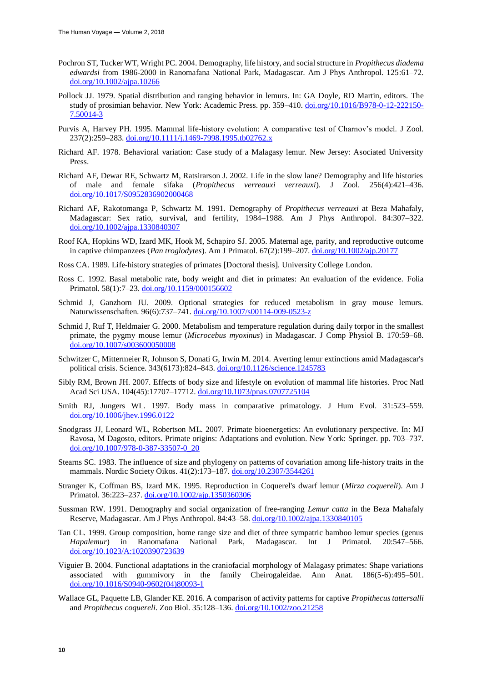- Pochron ST, Tucker WT, Wright PC. 2004. Demography, life history, and social structure in *Propithecus diadema edwardsi* from 1986-2000 in Ranomafana National Park, Madagascar. Am J Phys Anthropol. 125:61–72. [doi.org/10.1002/ajpa.10266](https://doi.org/10.1002/ajpa.10266)
- Pollock JJ. 1979. Spatial distribution and ranging behavior in lemurs. In: GA Doyle, RD Martin, editors. The study of prosimian behavior. New York: Academic Press. pp. 359–410. [doi.org/10.1016/B978-0-12-222150-](https://doi.org/10.1016/B978-0-12-222150-7.50014-3) [7.50014-3](https://doi.org/10.1016/B978-0-12-222150-7.50014-3)
- Purvis A, Harvey PH. 1995. Mammal life-history evolution: A comparative test of Charnov's model. J Zool. 237(2):259–283[. doi.org/10.1111/j.1469-7998.1995.tb02762.x](https://doi.org/10.1111/j.1469-7998.1995.tb02762.x)
- Richard AF. 1978. Behavioral variation: Case study of a Malagasy lemur. New Jersey: Asociated University **Press**
- Richard AF, Dewar RE, Schwartz M, Ratsirarson J. 2002. Life in the slow lane? Demography and life histories of male and female sifaka (*Propithecus verreauxi verreauxi*). J Zool. 256(4):421–436. [doi.org/10.1017/S0952836902000468](https://doi.org/10.1017/S0952836902000468)
- Richard AF, Rakotomanga P, Schwartz M. 1991. Demography of *Propithecus verreauxi* at Beza Mahafaly, Madagascar: Sex ratio, survival, and fertility, 1984–1988. Am J Phys Anthropol. 84:307–322. [doi.org/10.1002/ajpa.1330840307](https://doi.org/10.1002/ajpa.1330840307)
- Roof KA, Hopkins WD, Izard MK, Hook M, Schapiro SJ. 2005. Maternal age, parity, and reproductive outcome in captive chimpanzees (*Pan troglodytes*). Am J Primatol. 67(2):199–207. [doi.org/10.1002/ajp.20177](https://doi.org/10.1002/ajp.20177)
- Ross CA. 1989. Life-history strategies of primates [Doctoral thesis]. University College London.
- Ross C. 1992. Basal metabolic rate, body weight and diet in primates: An evaluation of the evidence. Folia Primatol*.* 58(1):7–23. [doi.org/10.1159/000156602](https://doi.org/10.1159/000156602)
- Schmid J, Ganzhorn JU. 2009. Optional strategies for reduced metabolism in gray mouse lemurs. Naturwissenschaften*.* 96(6):737–741. [doi.org/10.1007/s00114-009-0523-z](https://doi.org/10.1007/s00114-009-0523-z)
- Schmid J, Ruf T, Heldmaier G. 2000. Metabolism and temperature regulation during daily torpor in the smallest primate, the pygmy mouse lemur (*Microcebus myoxinus*) in Madagascar. J Comp Physiol B. 170:59–68. [doi.org/10.1007/s003600050008](https://doi.org/10.1007/s003600050008)
- Schwitzer C, Mittermeier R, Johnson S, Donati G, Irwin M. 2014. Averting lemur extinctions amid Madagascar's political crisis. Science. 343(6173):824–843. [doi.org/10.1126/science.1245783](https://doi.org/10.1126/science.1245783)
- Sibly RM, Brown JH. 2007. Effects of body size and lifestyle on evolution of mammal life histories. Proc Natl Acad Sci USA. 104(45):17707–17712. [doi.org/10.1073/pnas.0707725104](https://doi.org/10.1073/pnas.0707725104)
- Smith RJ, Jungers WL. 1997. Body mass in comparative primatology. J Hum Evol. 31:523–559. [doi.org/10.1006/jhev.1996.0122](https://doi.org/10.1006/jhev.1996.0122)
- Snodgrass JJ, Leonard WL, Robertson ML. 2007. Primate bioenergetics: An evolutionary perspective. In: MJ Ravosa, M Dagosto, editors. Primate origins: Adaptations and evolution. New York: Springer. pp. 703–737. [doi.org/10.1007/978-0-387-33507-0\\_20](https://doi.org/10.1007/978-0-387-33507-0_20)
- Stearns SC. 1983. The influence of size and phylogeny on patterns of covariation among life-history traits in the mammals. Nordic Society Oikos. 41(2):173–187. [doi.org/10.2307/3544261](https://doi.org/10.2307/3544261)
- Stranger K, Coffman BS, Izard MK. 1995. Reproduction in Coquerel's dwarf lemur (*Mirza coquereli*). Am J Primatol. 36:223–237. [doi.org/10.1002/ajp.1350360306](https://doi.org/10.1002/ajp.1350360306)
- Sussman RW. 1991. Demography and social organization of free-ranging *Lemur catta* in the Beza Mahafaly Reserve, Madagascar. Am J Phys Anthropol. 84:43–58. [doi.org/10.1002/ajpa.1330840105](https://doi.org/10.1002/ajpa.1330840105)
- Tan CL. 1999. Group composition, home range size and diet of three sympatric bamboo lemur species (genus *Hapalemur*) in Ranomafana National Park, Madagascar. Int J Primatol. 20:547–566. [doi.org/10.1023/A:1020390723639](https://doi.org/10.1023/A:1020390723639)
- Viguier B. 2004. Functional adaptations in the craniofacial morphology of Malagasy primates: Shape variations associated with gummivory in the family Cheirogaleidae. Ann Anat. 186(5-6):495–501. [doi.org/10.1016/S0940-9602\(04\)80093-1](https://doi.org/10.1016/S0940-9602(04)80093-1)
- Wallace GL, Paquette LB, Glander KE. 2016. A comparison of activity patterns for captive *Propithecus tattersalli* and *Propithecus coquereli*. Zoo Biol. 35:128–136. [doi.org/10.1002/zoo.21258](https://doi.org/10.1002/zoo.21258)